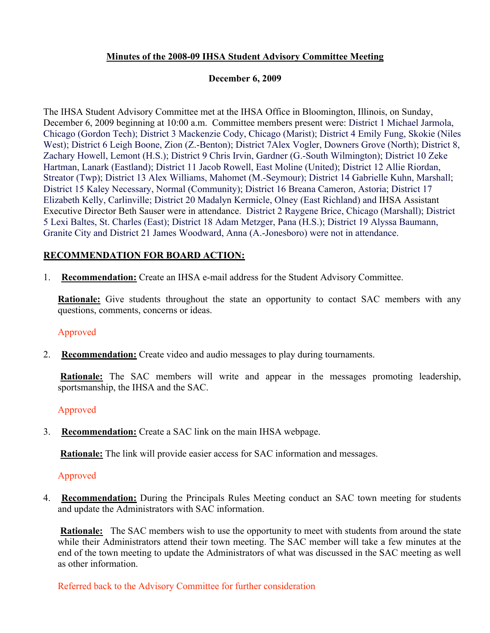# **Minutes of the 2008-09 IHSA Student Advisory Committee Meeting**

## **December 6, 2009**

The IHSA Student Advisory Committee met at the IHSA Office in Bloomington, Illinois, on Sunday, December 6, 2009 beginning at 10:00 a.m. Committee members present were: District 1 Michael Jarmola, Chicago (Gordon Tech); District 3 Mackenzie Cody, Chicago (Marist); District 4 Emily Fung, Skokie (Niles West); District 6 Leigh Boone, Zion (Z.-Benton); District 7Alex Vogler, Downers Grove (North); District 8, Zachary Howell, Lemont (H.S.); District 9 Chris Irvin, Gardner (G.-South Wilmington); District 10 Zeke Hartman, Lanark (Eastland); District 11 Jacob Rowell, East Moline (United); District 12 Allie Riordan, Streator (Twp); District 13 Alex Williams, Mahomet (M.-Seymour); District 14 Gabrielle Kuhn, Marshall; District 15 Kaley Necessary, Normal (Community); District 16 Breana Cameron, Astoria; District 17 Elizabeth Kelly, Carlinville; District 20 Madalyn Kermicle, Olney (East Richland) and IHSA Assistant Executive Director Beth Sauser were in attendance. District 2 Raygene Brice, Chicago (Marshall); District 5 Lexi Baltes, St. Charles (East); District 18 Adam Metzger, Pana (H.S.); District 19 Alyssa Baumann, Granite City and District 21 James Woodward, Anna (A.-Jonesboro) were not in attendance.

### **RECOMMENDATION FOR BOARD ACTION:**

1. **Recommendation:** Create an IHSA e-mail address for the Student Advisory Committee.

**Rationale:** Give students throughout the state an opportunity to contact SAC members with any questions, comments, concerns or ideas.

#### Approved

2. **Recommendation:** Create video and audio messages to play during tournaments.

**Rationale:** The SAC members will write and appear in the messages promoting leadership, sportsmanship, the IHSA and the SAC.

#### Approved

3. **Recommendation:** Create a SAC link on the main IHSA webpage.

**Rationale:** The link will provide easier access for SAC information and messages.

#### Approved

4. **Recommendation:** During the Principals Rules Meeting conduct an SAC town meeting for students and update the Administrators with SAC information.

**Rationale:** The SAC members wish to use the opportunity to meet with students from around the state while their Administrators attend their town meeting. The SAC member will take a few minutes at the end of the town meeting to update the Administrators of what was discussed in the SAC meeting as well as other information.

Referred back to the Advisory Committee for further consideration